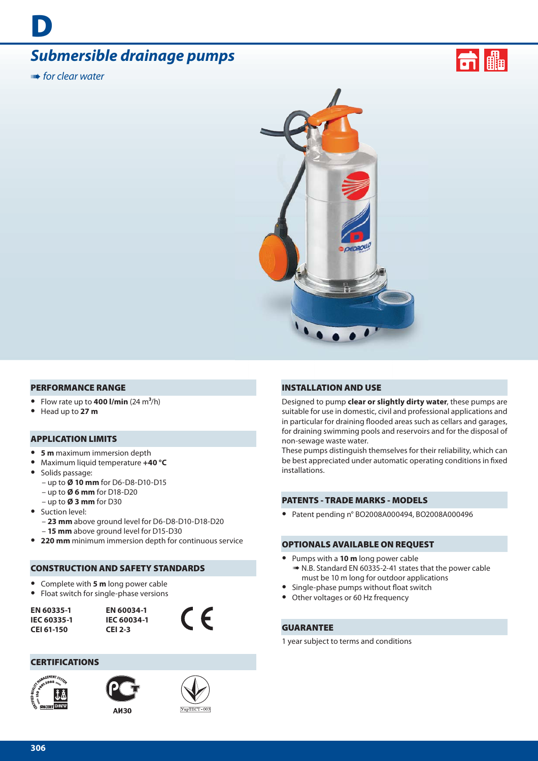# *Submersible drainage pumps*

**IIIII** for clear water

**D**





#### **PERFORMANCE RANGE**

- Flow rate up to  $400$  l/min  $(24 \text{ m}^3/\text{h})$
- **•** Head up to **27 m**

#### **APPLICATION LIMITS**

- **• 5 m** maximum immersion depth
- **•** Maximum liquid temperature **+40 °C**
- **•** Solids passage:
	- up to **Ø 10 mm** for D6-D8-D10-D15
	- up to **Ø 6 mm** for D18-D20
	- up to **Ø 3 mm** for D30
- **•** Suction level:
	- **23 mm** above ground level for D6-D8-D10-D18-D20 – **15 mm** above ground level for D15-D30
- **• 220 mm** minimum immersion depth for continuous service

# **CONSTRUCTION AND SAFETY STANDARDS**

- **•** Complete with **5 m** long power cable
- **•** Float switch for single-phase versions

**EN 60335-1 IEC 60335-1 CEI 61-150**

**EN 60034-1 IEC 60034-1 CEI 2-3**



#### **CERTIFICATIONS**







#### **INSTALLATION AND USE**

Designed to pump **clear or slightly dirty water**, these pumps are suitable for use in domestic, civil and professional applications and in particular for draining flooded areas such as cellars and garages, for draining swimming pools and reservoirs and for the disposal of non-sewage waste water.

These pumps distinguish themselves for their reliability, which can be best appreciated under automatic operating conditions in fixed installations.

#### **PATENTS - TRADE MARKS - MODELS**

**•** Patent pending n° BO2008A000494, BO2008A000496

#### **OPTIONALS AVAILABLE ON REQUEST**

- **•** Pumps with a **10 m** long power cable ➠ N.B. Standard EN 60335-2-41 states that the power cable must be 10 m long for outdoor applications
- Single-phase pumps without float switch
- **•** Other voltages or 60 Hz frequency

# **GUARANTEE**

1 year subject to terms and conditions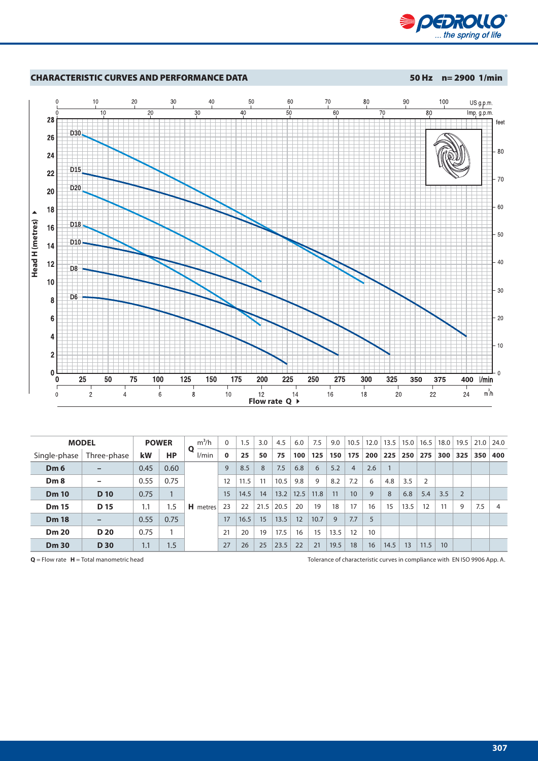



| <b>MODEL</b>    |                 | <b>POWER</b> |           | $m^3/h$         | $\mathbf{0}$ | 1.5  | 3.0  | 4.5  | 6.0  | 7.5  | 9.0  | 10.5            | 12.0 | 13.5 | 15.0 | 16.5 | 18.0 | 19.5 | 21.0 | 24.0 |
|-----------------|-----------------|--------------|-----------|-----------------|--------------|------|------|------|------|------|------|-----------------|------|------|------|------|------|------|------|------|
| Single-phase    | Three-phase     | kW           | <b>HP</b> | Ο<br>l/min      | $\mathbf 0$  | 25   | 50   | 75   | 100  | 125  | 150  | 175             | 200  | 225  | 250  | 275  | 300  | 325  | 350  | 400  |
| Dm <sub>6</sub> |                 | 0.45         | 0.60      | <b>H</b> metres | 9            | 8.5  | 8    | 7.5  | 6.8  | 6    | 5.2  | $\overline{4}$  | 2.6  |      |      |      |      |      |      |      |
| Dm8             |                 | 0.55         | 0.75      |                 | 12           | 11.5 | 11   | 10.5 | 9.8  | 9    | 8.2  | 7.2             | 6    | 4.8  | 3.5  | 2    |      |      |      |      |
| <b>Dm 10</b>    | D <sub>10</sub> | 0.75         |           |                 | 15           | 14.5 | 14   | 13.2 | 12.5 | 11.8 | 11   | 10 <sup>°</sup> | 9    | 8    | 6.8  | 5.4  | 3.5  |      |      |      |
| <b>Dm 15</b>    | D <sub>15</sub> | 1.1          | 1.5       |                 | 23           | 22   | 21.5 | 20.5 | 20   | 19   | 18   | 17              | 16   | 15   | 13.5 | 12   | 11   | 9    | 7.5  | 4    |
| <b>Dm 18</b>    |                 | 0.55         | 0.75      |                 | 17           | 16.5 | 15   | 13.5 | 12   | 10.7 | 9    | 7.7             | 5    |      |      |      |      |      |      |      |
| <b>Dm 20</b>    | D <sub>20</sub> | 0.75         |           |                 | 21           | 20   | 19   | 17.5 | 16   | 15   | 13.5 | 12              | 10   |      |      |      |      |      |      |      |
| <b>Dm 30</b>    | <b>D</b> 30     | 1.1          | 1.5       |                 | 27           | 26   | 25   | 23.5 | 22   | 21   | 19.5 | 18              | 16   | 14.5 | 13   | 11.5 | 10   |      |      |      |

**Q** = Flow rate **H** = Total manometric head **Tolerance of characteristic curves** in compliance with EN ISO 9906 App. A.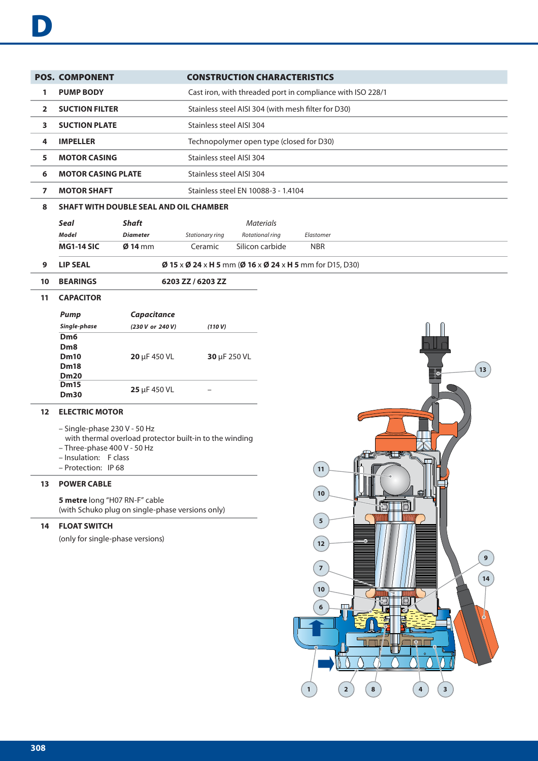|                | <b>POS. COMPONENT</b>                                                                                                |                 |                   | <b>CONSTRUCTION CHARACTERISTICS</b>                        |            |  |  |  |  |  |  |
|----------------|----------------------------------------------------------------------------------------------------------------------|-----------------|-------------------|------------------------------------------------------------|------------|--|--|--|--|--|--|
| 1              | <b>PUMP BODY</b>                                                                                                     |                 |                   | Cast iron, with threaded port in compliance with ISO 228/1 |            |  |  |  |  |  |  |
| $\overline{2}$ | <b>SUCTION FILTER</b>                                                                                                |                 |                   | Stainless steel AISI 304 (with mesh filter for D30)        |            |  |  |  |  |  |  |
| 3              | <b>SUCTION PLATE</b>                                                                                                 |                 |                   | Stainless steel AISI 304                                   |            |  |  |  |  |  |  |
| 4              | <b>IMPELLER</b>                                                                                                      |                 |                   | Technopolymer open type (closed for D30)                   |            |  |  |  |  |  |  |
| 5              | <b>MOTOR CASING</b>                                                                                                  |                 |                   | Stainless steel AISI 304                                   |            |  |  |  |  |  |  |
| 6              | <b>MOTOR CASING PLATE</b>                                                                                            |                 |                   | Stainless steel AISI 304                                   |            |  |  |  |  |  |  |
| 7              | Stainless steel EN 10088-3 - 1.4104<br><b>MOTOR SHAFT</b>                                                            |                 |                   |                                                            |            |  |  |  |  |  |  |
| 8              | <b>SHAFT WITH DOUBLE SEAL AND OIL CHAMBER</b>                                                                        |                 |                   |                                                            |            |  |  |  |  |  |  |
|                | <b>Seal</b>                                                                                                          | <b>Shaft</b>    |                   | <b>Materials</b>                                           |            |  |  |  |  |  |  |
|                | <b>Model</b>                                                                                                         | <b>Diameter</b> | Stationary ring   | Rotational ring                                            | Elastomer  |  |  |  |  |  |  |
|                | <b>MG1-14 SIC</b>                                                                                                    | $Ø$ 14 mm       | Ceramic           | Silicon carbide                                            | <b>NBR</b> |  |  |  |  |  |  |
| 9              | $\emptyset$ 15 x $\emptyset$ 24 x H 5 mm ( $\emptyset$ 16 x $\emptyset$ 24 x H 5 mm for D15, D30)<br><b>LIP SEAL</b> |                 |                   |                                                            |            |  |  |  |  |  |  |
| 10             | <b>BEARINGS</b>                                                                                                      |                 | 6203 ZZ / 6203 ZZ |                                                            |            |  |  |  |  |  |  |
| 11             | <b>CAPACITOR</b>                                                                                                     |                 |                   |                                                            |            |  |  |  |  |  |  |

| <b>Pump</b>                                                                | <b>Capacitance</b> |              |
|----------------------------------------------------------------------------|--------------------|--------------|
| Single-phase                                                               | (230 V or 240 V)   | (110 V)      |
| D <sub>m</sub> 6<br>D <sub>m</sub> 8<br>Dm10<br><b>Dm18</b><br><b>Dm20</b> | $20 \mu F 450 VL$  | 30 µF 250 VL |
| <b>Dm15</b><br><b>Dm30</b>                                                 | 25 µF 450 VL       |              |

# **12 ELECTRIC MOTOR**

- Single-phase 230 V 50 Hz
	- with thermal overload protector built-in to the winding
- Three-phase 400 V 50 Hz
- Insulation: F class
- Protection: IP 68

#### **13 POWER CABLE**

**5 metre** long "H07 RN-F" cable (with Schuko plug on single-phase versions only)

# **14 FLOAT SWITCH**

(only for single-phase versions)